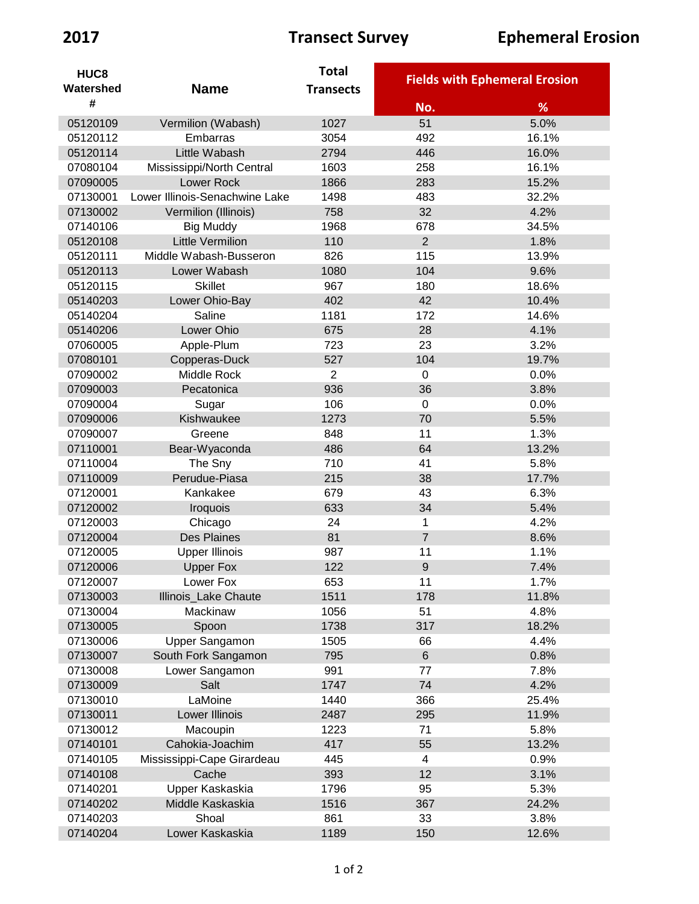| HUC <sub>8</sub> |                                | <b>Total</b>     |                          |                                      |
|------------------|--------------------------------|------------------|--------------------------|--------------------------------------|
| Watershed        | <b>Name</b>                    | <b>Transects</b> |                          | <b>Fields with Ephemeral Erosion</b> |
| #                |                                |                  | No.                      | %                                    |
| 05120109         | Vermilion (Wabash)             | 1027             | 51                       | 5.0%                                 |
| 05120112         | Embarras                       | 3054             | 492                      | 16.1%                                |
| 05120114         | Little Wabash                  | 2794             | 446                      | 16.0%                                |
| 07080104         | Mississippi/North Central      | 1603             | 258                      | 16.1%                                |
| 07090005         | <b>Lower Rock</b>              | 1866             | 283                      | 15.2%                                |
| 07130001         | Lower Illinois-Senachwine Lake | 1498             | 483                      | 32.2%                                |
| 07130002         | Vermilion (Illinois)           | 758              | 32                       | 4.2%                                 |
| 07140106         | <b>Big Muddy</b>               | 1968             | 678                      | 34.5%                                |
| 05120108         | <b>Little Vermilion</b>        | 110              | $\overline{2}$           | 1.8%                                 |
| 05120111         | Middle Wabash-Busseron         | 826              | 115                      | 13.9%                                |
| 05120113         | Lower Wabash                   | 1080             | 104                      | 9.6%                                 |
| 05120115         | <b>Skillet</b>                 | 967              | 180                      | 18.6%                                |
| 05140203         | Lower Ohio-Bay                 | 402              | 42                       | 10.4%                                |
| 05140204         | Saline                         | 1181             | 172                      | 14.6%                                |
| 05140206         | Lower Ohio                     | 675              | 28                       | 4.1%                                 |
| 07060005         | Apple-Plum                     | 723              | 23                       | 3.2%                                 |
| 07080101         | Copperas-Duck                  | 527              | 104                      | 19.7%                                |
| 07090002         | Middle Rock                    | 2                | 0                        | 0.0%                                 |
| 07090003         | Pecatonica                     | 936              | 36                       | 3.8%                                 |
| 07090004         | Sugar                          | 106              | $\mathbf 0$              | 0.0%                                 |
| 07090006         | Kishwaukee                     | 1273             | 70                       | 5.5%                                 |
| 07090007         | Greene                         | 848              | 11                       | 1.3%                                 |
| 07110001         | Bear-Wyaconda                  | 486              | 64                       | 13.2%                                |
| 07110004         | The Sny                        | 710              | 41                       | 5.8%                                 |
| 07110009         | Perudue-Piasa                  | 215              | 38                       | 17.7%                                |
| 07120001         | Kankakee                       | 679              | 43                       | 6.3%                                 |
| 07120002         | Iroquois                       | 633              | 34                       | 5.4%                                 |
| 07120003         | Chicago                        | 24               | 1                        | 4.2%                                 |
| 07120004         | <b>Des Plaines</b>             | 81               | $\overline{7}$           | 8.6%                                 |
| 07120005         | <b>Upper Illinois</b>          | 987              | 11                       | 1.1%                                 |
| 07120006         | <b>Upper Fox</b>               | 122              | $9\,$                    | 7.4%                                 |
| 07120007         | Lower Fox                      | 653              | 11                       | 1.7%                                 |
| 07130003         | Illinois_Lake Chaute           | 1511             | 178                      | 11.8%                                |
| 07130004         | Mackinaw                       | 1056             | 51                       | 4.8%                                 |
| 07130005         | Spoon                          | 1738             | 317                      | 18.2%                                |
| 07130006         | Upper Sangamon                 | 1505             | 66                       | 4.4%                                 |
| 07130007         | South Fork Sangamon            | 795              | $\,6\,$                  | 0.8%                                 |
| 07130008         | Lower Sangamon                 | 991              | 77                       | 7.8%                                 |
| 07130009         | Salt                           | 1747             | 74                       | 4.2%                                 |
| 07130010         | LaMoine                        | 1440             | 366                      | 25.4%                                |
| 07130011         | Lower Illinois                 | 2487             | 295                      | 11.9%                                |
| 07130012         | Macoupin                       | 1223             | 71                       | 5.8%                                 |
| 07140101         | Cahokia-Joachim                | 417              | 55                       | 13.2%                                |
| 07140105         | Mississippi-Cape Girardeau     | 445              | $\overline{\mathcal{A}}$ | 0.9%                                 |
| 07140108         | Cache                          | 393              | 12                       | 3.1%                                 |
| 07140201         | Upper Kaskaskia                | 1796             | 95                       | 5.3%                                 |
| 07140202         | Middle Kaskaskia               | 1516             | 367                      | 24.2%                                |
| 07140203         | Shoal                          | 861              | 33                       | 3.8%                                 |
| 07140204         | Lower Kaskaskia                | 1189             | 150                      | 12.6%                                |